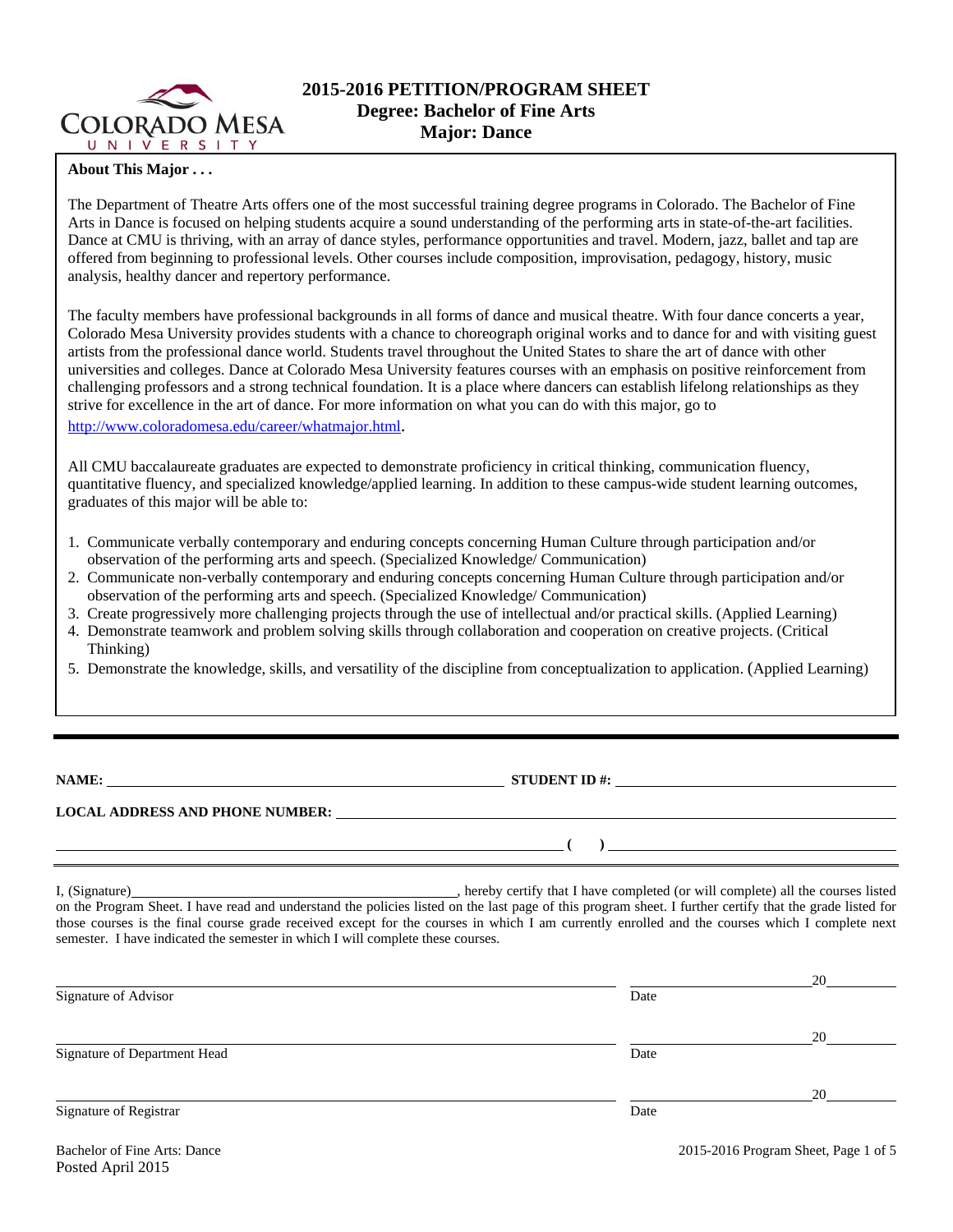

# **2015-2016 PETITION/PROGRAM SHEET Degree: Bachelor of Fine Arts Major: Dance**

# **About This Major . . .**

The Department of Theatre Arts offers one of the most successful training degree programs in Colorado. The Bachelor of Fine Arts in Dance is focused on helping students acquire a sound understanding of the performing arts in state-of-the-art facilities. Dance at CMU is thriving, with an array of dance styles, performance opportunities and travel. Modern, jazz, ballet and tap are offered from beginning to professional levels. Other courses include composition, improvisation, pedagogy, history, music analysis, healthy dancer and repertory performance.

The faculty members have professional backgrounds in all forms of dance and musical theatre. With four dance concerts a year, Colorado Mesa University provides students with a chance to choreograph original works and to dance for and with visiting guest artists from the professional dance world. Students travel throughout the United States to share the art of dance with other universities and colleges. Dance at Colorado Mesa University features courses with an emphasis on positive reinforcement from challenging professors and a strong technical foundation. It is a place where dancers can establish lifelong relationships as they strive for excellence in the art of dance. For more information on what you can do with this major, go to http://www.coloradomesa.edu/career/whatmajor.html.

All CMU baccalaureate graduates are expected to demonstrate proficiency in critical thinking, communication fluency, quantitative fluency, and specialized knowledge/applied learning. In addition to these campus-wide student learning outcomes, graduates of this major will be able to:

- 1. Communicate verbally contemporary and enduring concepts concerning Human Culture through participation and/or observation of the performing arts and speech. (Specialized Knowledge/ Communication)
- 2. Communicate non-verbally contemporary and enduring concepts concerning Human Culture through participation and/or observation of the performing arts and speech. (Specialized Knowledge/ Communication)
- 3. Create progressively more challenging projects through the use of intellectual and/or practical skills. (Applied Learning)
- 4. Demonstrate teamwork and problem solving skills through collaboration and cooperation on creative projects. (Critical Thinking)
- 5. Demonstrate the knowledge, skills, and versatility of the discipline from conceptualization to application. (Applied Learning)

**NAME: STUDENT ID #: STUDENT ID #: STUDENT ID #: STUDENT ID #: STUDENT ID #: STUDENT ID #: STUDENT ID #: STUDENT ID #: STUDENT ID #: STUDENT ID #: STUDENT ID #: STUDENT ID #: STUDENT ID #: STUDE** 

 $($   $)$   $=$ 

**LOCAL ADDRESS AND PHONE NUMBER:**

I, (Signature) , hereby certify that I have completed (or will complete) all the courses listed on the Program Sheet. I have read and understand the policies listed on the last page of this program sheet. I further certify that the grade listed for those courses is the final course grade received except for the courses in which I am currently enrolled and the courses which I complete next semester. I have indicated the semester in which I will complete these courses.

|                              |      | 20 |
|------------------------------|------|----|
| Signature of Advisor         | Date |    |
|                              |      | 20 |
| Signature of Department Head | Date |    |
|                              |      | 20 |
| Signature of Registrar       | Date |    |

Posted April 2015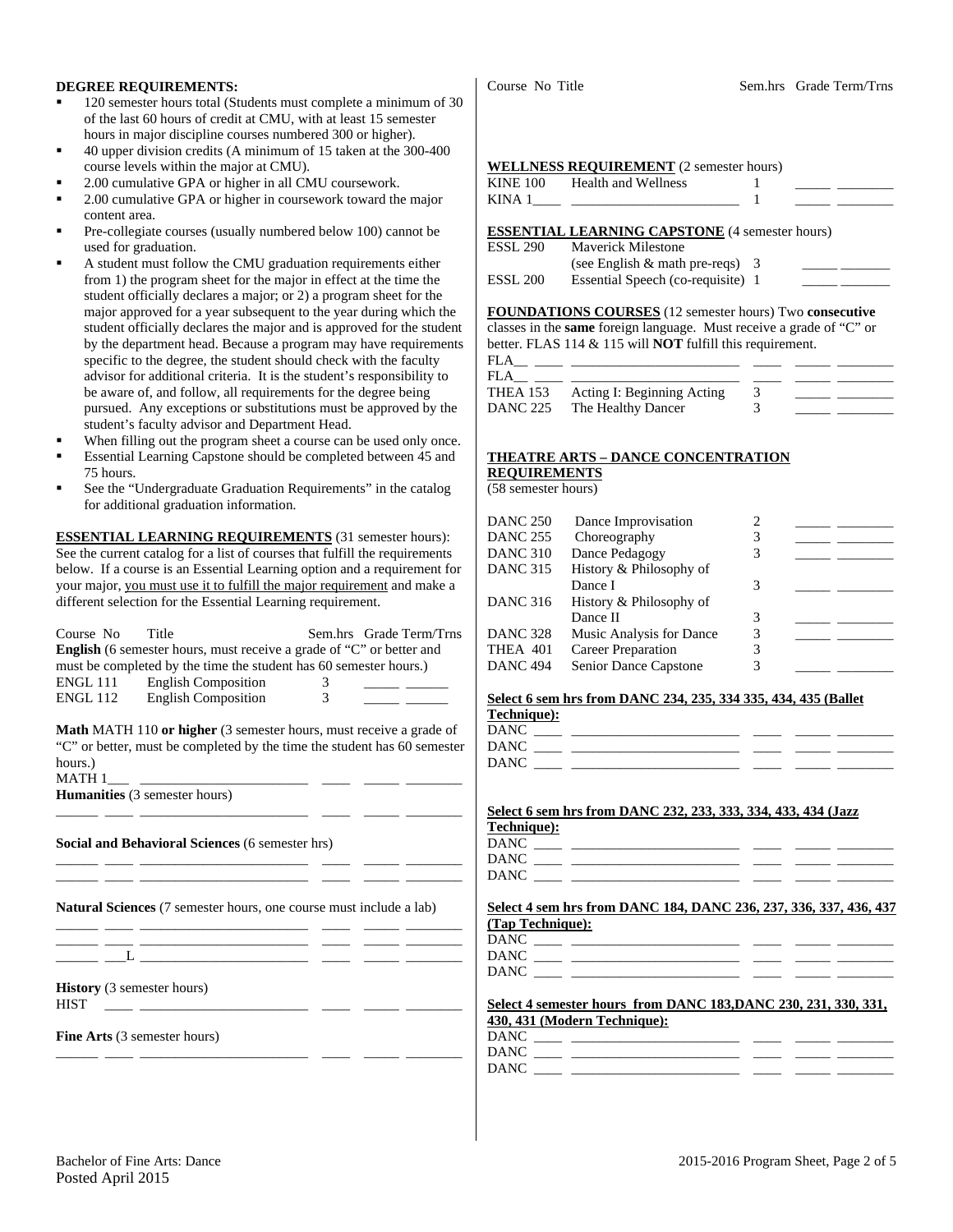### **DEGREE REQUIREMENTS:**

- 120 semester hours total (Students must complete a minimum of 30 of the last 60 hours of credit at CMU, with at least 15 semester hours in major discipline courses numbered 300 or higher).
- 40 upper division credits (A minimum of 15 taken at the 300-400 course levels within the major at CMU).
- 2.00 cumulative GPA or higher in all CMU coursework.
- 2.00 cumulative GPA or higher in coursework toward the major content area.
- Pre-collegiate courses (usually numbered below 100) cannot be used for graduation.
- A student must follow the CMU graduation requirements either from 1) the program sheet for the major in effect at the time the student officially declares a major; or 2) a program sheet for the major approved for a year subsequent to the year during which the student officially declares the major and is approved for the student by the department head. Because a program may have requirements specific to the degree, the student should check with the faculty advisor for additional criteria. It is the student's responsibility to be aware of, and follow, all requirements for the degree being pursued. Any exceptions or substitutions must be approved by the student's faculty advisor and Department Head.
- When filling out the program sheet a course can be used only once.
- Essential Learning Capstone should be completed between 45 and 75 hours.
- See the "Undergraduate Graduation Requirements" in the catalog for additional graduation information.

**ESSENTIAL LEARNING REQUIREMENTS** (31 semester hours): See the current catalog for a list of courses that fulfill the requirements below. If a course is an Essential Learning option and a requirement for your major, you must use it to fulfill the major requirement and make a different selection for the Essential Learning requirement.

| Course No Title                                  | <b>English</b> (6 semester hours, must receive a grade of "C" or better and<br>must be completed by the time the student has 60 semester hours.)<br>ENGL 111 English Composition<br>ENGL 112 English Composition | 3<br>3 | Sem.hrs Grade Term/Trns<br>the company of the company of the |
|--------------------------------------------------|------------------------------------------------------------------------------------------------------------------------------------------------------------------------------------------------------------------|--------|--------------------------------------------------------------|
| hours.)                                          | <b>Math MATH 110 or higher</b> (3 semester hours, must receive a grade of<br>"C" or better, must be completed by the time the student has 60 semester                                                            |        |                                                              |
|                                                  | Humanities (3 semester hours)                                                                                                                                                                                    |        |                                                              |
|                                                  | Social and Behavioral Sciences (6 semester hrs)<br>the control of the control of the control of the control of the control of                                                                                    |        |                                                              |
|                                                  | <b>Natural Sciences</b> (7 semester hours, one course must include a lab)                                                                                                                                        |        |                                                              |
|                                                  | the contract of the contract of the contract of the contract of the contract of                                                                                                                                  |        |                                                              |
| <b>History</b> (3 semester hours)<br><b>HIST</b> |                                                                                                                                                                                                                  |        |                                                              |
| <b>Fine Arts</b> (3 semester hours)              |                                                                                                                                                                                                                  |        |                                                              |

\_\_\_\_\_\_ \_\_\_\_ \_\_\_\_\_\_\_\_\_\_\_\_\_\_\_\_\_\_\_\_\_\_\_\_ \_\_\_\_ \_\_\_\_\_ \_\_\_\_\_\_\_\_

#### **WELLNESS REQUIREMENT** (2 semester hours)

| <b>KINE 100</b> | <b>Health and Wellness</b> |  |  |
|-----------------|----------------------------|--|--|
| KINA 1          |                            |  |  |
|                 |                            |  |  |

#### **ESSENTIAL LEARNING CAPSTONE** (4 semester hours)

| ESSL 290 | <b>Maverick Milestone</b>         |  |
|----------|-----------------------------------|--|
|          | (see English $\&$ math pre-reqs)  |  |
| ESSL 200 | Essential Speech (co-requisite) 1 |  |
|          |                                   |  |

**FOUNDATIONS COURSES** (12 semester hours) Two **consecutive** classes in the **same** foreign language. Must receive a grade of "C" or better. FLAS 114 & 115 will **NOT** fulfill this requirement.

| ٠ |  |  |
|---|--|--|
|   |  |  |

| FLA      |                                     |  |  |
|----------|-------------------------------------|--|--|
|          | THEA 153 Acting I: Beginning Acting |  |  |
| DANC 225 | The Healthy Dancer                  |  |  |

# **THEATRE ARTS – DANCE CONCENTRATION REQUIREMENTS**

(58 semester hours)

| DANC 250        | Dance Improvisation       |   |  |
|-----------------|---------------------------|---|--|
| <b>DANC 255</b> | Choreography              |   |  |
| DANC 310        | Dance Pedagogy            |   |  |
| DANC 315        | History & Philosophy of   |   |  |
|                 | Dance I                   |   |  |
| <b>DANC 316</b> | History & Philosophy of   |   |  |
|                 | Dance II                  |   |  |
| DANC 328        | Music Analysis for Dance  |   |  |
| THEA 401        | <b>Career Preparation</b> |   |  |
| DANC 494        | Senior Dance Capstone     | 3 |  |

#### **Select 6 sem hrs from DANC 234, 235, 334 335, 434, 435 (Ballet Technique):**

| .    |  |  |  |
|------|--|--|--|
| DANC |  |  |  |
| DANC |  |  |  |
| DANC |  |  |  |
|      |  |  |  |

#### **Select 6 sem hrs from DANC 232, 233, 333, 334, 433, 434 (Jazz**

**Technique):** 

| DANC |  |  |
|------|--|--|
| DANC |  |  |
| DANC |  |  |

#### **Select 4 sem hrs from DANC 184, DANC 236, 237, 336, 337, 436, 437 (Tap Technique):**

| <b>DANC</b> |  |  |  |
|-------------|--|--|--|
| <b>DANC</b> |  |  |  |
| <b>DANC</b> |  |  |  |

#### **Select 4 semester hours from DANC 183,DANC 230, 231, 330, 331, 430, 431 (Modern Technique):**

DANC \_\_\_\_ \_\_\_\_\_\_\_\_\_\_\_\_\_\_\_\_\_\_\_\_\_\_\_\_ \_\_\_\_ \_\_\_\_\_ \_\_\_\_\_\_\_\_

| <b>A A</b> |  |  |
|------------|--|--|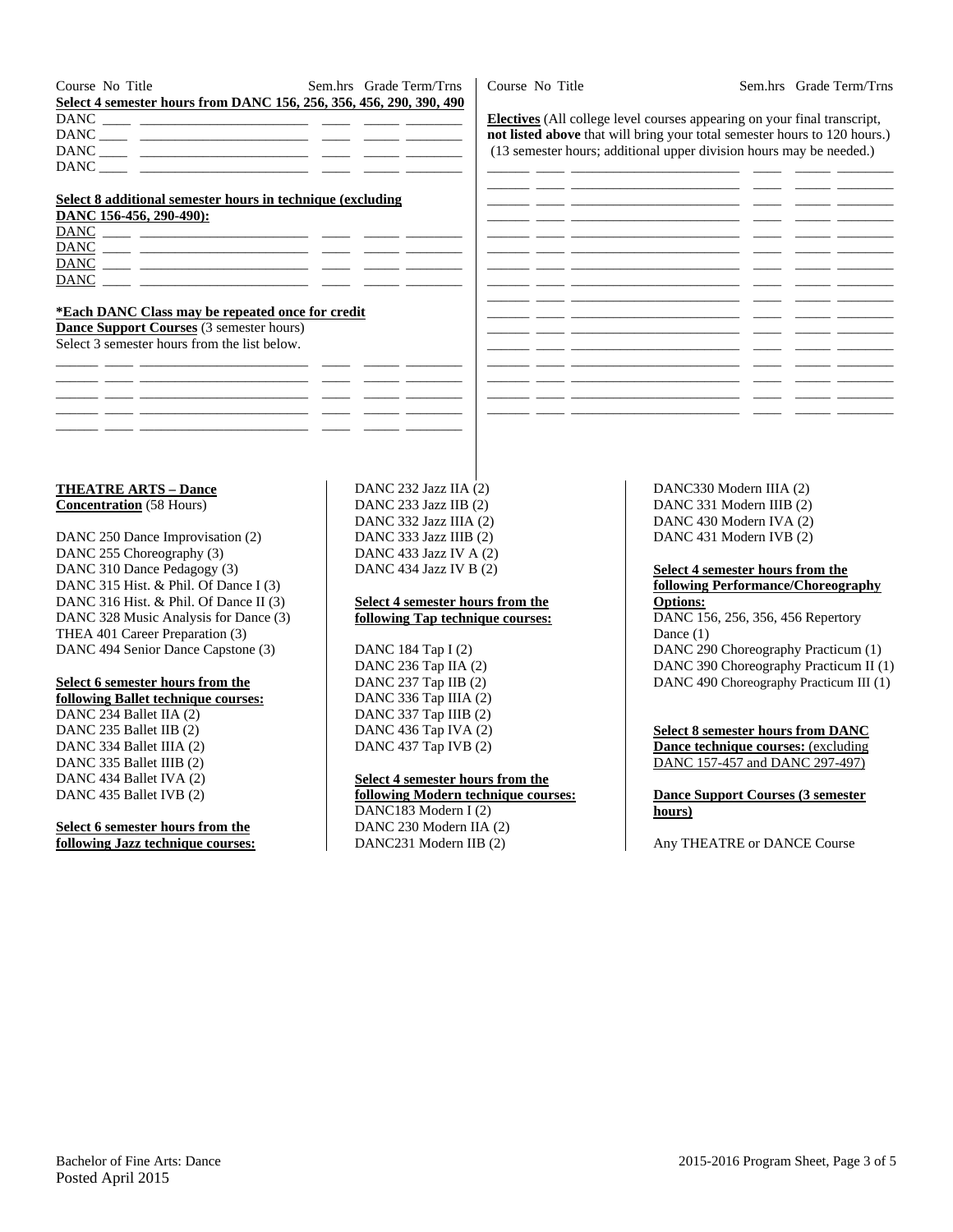| Course No Title                                                                                                                                                                                        | Sem.hrs Grade Term/Trns |
|--------------------------------------------------------------------------------------------------------------------------------------------------------------------------------------------------------|-------------------------|
| Select 4 semester hours from DANC 156, 256, 356, 456, 290, 390, 490                                                                                                                                    |                         |
|                                                                                                                                                                                                        |                         |
|                                                                                                                                                                                                        |                         |
| $DANC \nightharpoonup \nightharpoonup \nightharpoonup \nightharpoonup \nightharpoonup \nightharpoonup \nightharpoonup \nightharpoonup \nightharpoonup \nightharpoonup \nightharpoonup \nightharpoonup$ |                         |
|                                                                                                                                                                                                        |                         |

### **Select 8 additional semester hours in technique (excluding**

| DANC 156-456, 290-490): |  |  |
|-------------------------|--|--|
| <b>DANC</b>             |  |  |
| <b>DANC</b>             |  |  |
| <b>DANC</b>             |  |  |
| DANC                    |  |  |

#### **\*Each DANC Class may be repeated once for credit**

**Dance Support Courses** (3 semester hours) Select 3 semester hours from the list below.

\_\_\_\_\_\_ \_\_\_\_ \_\_\_\_\_\_\_\_\_\_\_\_\_\_\_\_\_\_\_\_\_\_\_\_ \_\_\_\_ \_\_\_\_\_ \_\_\_\_\_\_\_\_ \_\_\_\_\_\_ \_\_\_\_ \_\_\_\_\_\_\_\_\_\_\_\_\_\_\_\_\_\_\_\_\_\_\_\_ \_\_\_\_ \_\_\_\_\_ \_\_\_\_\_\_\_\_ \_\_\_\_\_\_ \_\_\_\_ \_\_\_\_\_\_\_\_\_\_\_\_\_\_\_\_\_\_\_\_\_\_\_\_ \_\_\_\_ \_\_\_\_\_ \_\_\_\_\_\_\_\_  $-$ \_\_\_\_\_\_ \_\_\_\_ \_\_\_\_\_\_\_\_\_\_\_\_\_\_\_\_\_\_\_\_\_\_\_\_ \_\_\_\_ \_\_\_\_\_ \_\_\_\_\_\_\_\_

## DANC 232 Jazz IIA (2) DANC 233 Jazz IIB (2) DANC 332 Jazz IIIA (2) DANC 333 Jazz IIIB (2) DANC 433 Jazz IV A (2) DANC 434 Jazz IV B (2)

#### **Select 4 semester hours from the following Tap technique courses:**

DANC 184 Tap I (2) DANC 236 Tap IIA (2) DANC 237 Tap IIB (2) DANC 336 Tap IIIA (2) DANC 337 Tap IIIB (2) DANC 436 Tap IVA (2) DANC 437 Tap IVB (2)

## **Select 4 semester hours from the**

**following Modern technique courses:**  DANC183 Modern I (2) DANC 230 Modern IIA (2) DANC231 Modern IIB (2)

DANC330 Modern IIIA (2) DANC 331 Modern IIIB (2) DANC 430 Modern IVA (2) DANC 431 Modern IVB (2)

#### **Select 4 semester hours from the following Performance/Choreography Options:**  DANC 156, 256, 356, 456 Repertory Dance (1) DANC 290 Choreography Practicum (1) DANC 390 Choreography Practicum II (1)

DANC 490 Choreography Practicum III (1)

#### **Select 8 semester hours from DANC Dance technique courses:** (excluding DANC 157-457 and DANC 297-497)

**Dance Support Courses (3 semester hours)** 

Any THEATRE or DANCE Course

# Course No Title Sem.hrs Grade Term/Trns

**Electives** (All college level courses appearing on your final transcript, **not listed above** that will bring your total semester hours to 120 hours.) (13 semester hours; additional upper division hours may be needed.)

|  |     | $\overline{\phantom{0}}$ |  |
|--|-----|--------------------------|--|
|  |     | <b>.</b>                 |  |
|  |     |                          |  |
|  |     | <b>.</b>                 |  |
|  | -   | - 11                     |  |
|  | -   | $\sim$                   |  |
|  | -   |                          |  |
|  |     |                          |  |
|  | ___ |                          |  |
|  |     | $\overline{\phantom{a}}$ |  |
|  | —   |                          |  |
|  |     | $\sim$                   |  |
|  |     |                          |  |
|  |     |                          |  |
|  |     |                          |  |

**Concentration** (58 Hours) DANC 250 Dance Improvisation (2) DANC 255 Choreography (3) DANC 310 Dance Pedagogy (3) DANC 315 Hist. & Phil. Of Dance I (3) DANC 316 Hist. & Phil. Of Dance II (3) DANC 328 Music Analysis for Dance (3) THEA 401 Career Preparation (3)

DANC 494 Senior Dance Capstone (3)

**THEATRE ARTS – Dance** 

# **Select 6 semester hours from the**

**following Ballet technique courses:** 

DANC 234 Ballet IIA (2) DANC 235 Ballet IIB (2) DANC 334 Ballet IIIA (2) DANC 335 Ballet IIIB (2) DANC 434 Ballet IVA (2) DANC 435 Ballet IVB (2)

# **Select 6 semester hours from the following Jazz technique courses:**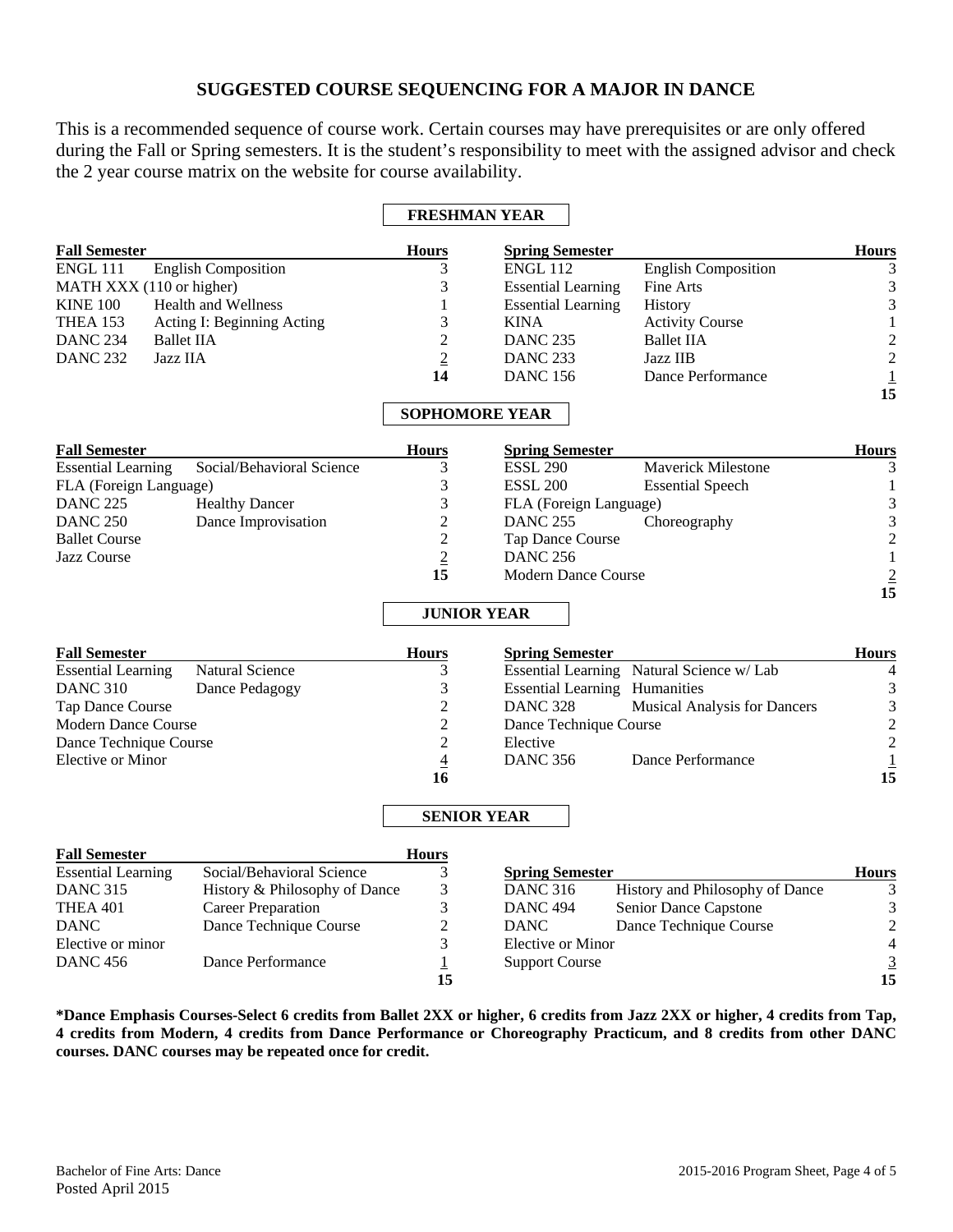# **SUGGESTED COURSE SEQUENCING FOR A MAJOR IN DANCE**

This is a recommended sequence of course work. Certain courses may have prerequisites or are only offered during the Fall or Spring semesters. It is the student's responsibility to meet with the assigned advisor and check the 2 year course matrix on the website for course availability.

|                                                        |                      | <b>FRESHMAN YEAR</b>                 |                                           |                          |
|--------------------------------------------------------|----------------------|--------------------------------------|-------------------------------------------|--------------------------|
| <b>Fall Semester</b>                                   | <b>Hours</b>         | <b>Spring Semester</b>               |                                           | <b>Hours</b>             |
| <b>English Composition</b><br><b>ENGL 111</b>          | 3                    | <b>ENGL 112</b>                      | <b>English Composition</b>                | 3                        |
| MATH XXX (110 or higher)                               | 3                    | <b>Essential Learning</b>            | Fine Arts                                 | $\mathfrak{Z}$           |
| <b>KINE 100</b><br><b>Health and Wellness</b>          | 1                    | <b>Essential Learning</b>            | <b>History</b>                            | 3                        |
| <b>THEA 153</b><br>Acting I: Beginning Acting          | 3                    | <b>KINA</b>                          | <b>Activity Course</b>                    | $\mathbf 1$              |
| <b>DANC 234</b><br><b>Ballet IIA</b>                   | $\overline{2}$       | <b>DANC 235</b>                      | <b>Ballet IIA</b>                         |                          |
| <b>DANC 232</b><br>Jazz IIA                            | $\overline{2}$       | <b>DANC 233</b>                      | Jazz IIB                                  | $\frac{2}{2}$            |
|                                                        | 14                   | <b>DANC 156</b>                      | Dance Performance                         |                          |
|                                                        |                      |                                      |                                           | $\frac{1}{15}$           |
|                                                        |                      | <b>SOPHOMORE YEAR</b>                |                                           |                          |
| <b>Fall Semester</b>                                   | <b>Hours</b>         | <b>Spring Semester</b>               |                                           | <b>Hours</b>             |
| Social/Behavioral Science<br><b>Essential Learning</b> | 3                    | <b>ESSL 290</b>                      | Maverick Milestone                        | 3                        |
| FLA (Foreign Language)                                 | 3                    | <b>ESSL 200</b>                      | <b>Essential Speech</b>                   | $\,1\,$                  |
| <b>DANC 225</b><br><b>Healthy Dancer</b>               | 3                    | FLA (Foreign Language)               |                                           | 3                        |
| Dance Improvisation<br><b>DANC 250</b>                 | $\overline{2}$       | <b>DANC 255</b>                      | Choreography                              | 3                        |
| <b>Ballet Course</b>                                   | $\overline{c}$       | Tap Dance Course                     |                                           | $\overline{c}$           |
| <b>Jazz Course</b>                                     | $\overline{2}$       | <b>DANC 256</b>                      |                                           | $1\,$                    |
|                                                        | 15                   | <b>Modern Dance Course</b>           |                                           | $\overline{2}$           |
|                                                        |                      |                                      |                                           | 15                       |
|                                                        | <b>JUNIOR YEAR</b>   |                                      |                                           |                          |
| <b>Fall Semester</b>                                   | <b>Hours</b>         | <b>Spring Semester</b>               |                                           | <b>Hours</b>             |
| <b>Natural Science</b><br><b>Essential Learning</b>    | 3                    |                                      | Essential Learning Natural Science w/ Lab | 4                        |
| <b>DANC 310</b><br>Dance Pedagogy                      | 3                    | <b>Essential Learning Humanities</b> |                                           | $\mathfrak{Z}$           |
| Tap Dance Course                                       | $\overline{c}$       | <b>DANC 328</b>                      | <b>Musical Analysis for Dancers</b>       | $\mathfrak{Z}$           |
| <b>Modern Dance Course</b>                             | $\overline{2}$       | Dance Technique Course               |                                           | $\overline{c}$           |
| Dance Technique Course                                 | $\overline{c}$       | Elective                             |                                           | $\overline{c}$           |
| Elective or Minor                                      | $\overline{4}$       | <b>DANC 356</b>                      | Dance Performance                         | $\underline{1}$          |
|                                                        | 16                   |                                      |                                           | 15                       |
|                                                        |                      | <b>SENIOR YEAR</b>                   |                                           |                          |
| <b>Fall Semester</b>                                   | <b>Hours</b>         |                                      |                                           |                          |
| <b>Essential Learning</b><br>Social/Behavioral Science | 3                    | <b>Spring Semester</b>               |                                           | <b>Hours</b>             |
| History & Philosophy of Dance<br><b>DANC 315</b>       | 3                    | <b>DANC 316</b>                      | History and Philosophy of Dance           | 3                        |
| <b>Career Preparation</b><br><b>THEA 401</b>           | 3                    | <b>DANC 494</b>                      | Senior Dance Capstone                     | $\mathfrak{Z}$           |
| Dance Technique Course<br><b>DANC</b>                  | $\overline{2}$       | <b>DANC</b>                          | Dance Technique Course                    | $\overline{c}$           |
| Elective or minor                                      | 3                    | Elective or Minor                    |                                           | $\overline{\mathcal{L}}$ |
| Dance Performance<br><b>DANC 456</b>                   | $\overline{1}$<br>15 | <b>Support Course</b>                |                                           | $\frac{3}{15}$           |

**\*Dance Emphasis Courses-Select 6 credits from Ballet 2XX or higher, 6 credits from Jazz 2XX or higher, 4 credits from Tap, 4 credits from Modern, 4 credits from Dance Performance or Choreography Practicum, and 8 credits from other DANC courses. DANC courses may be repeated once for credit.**